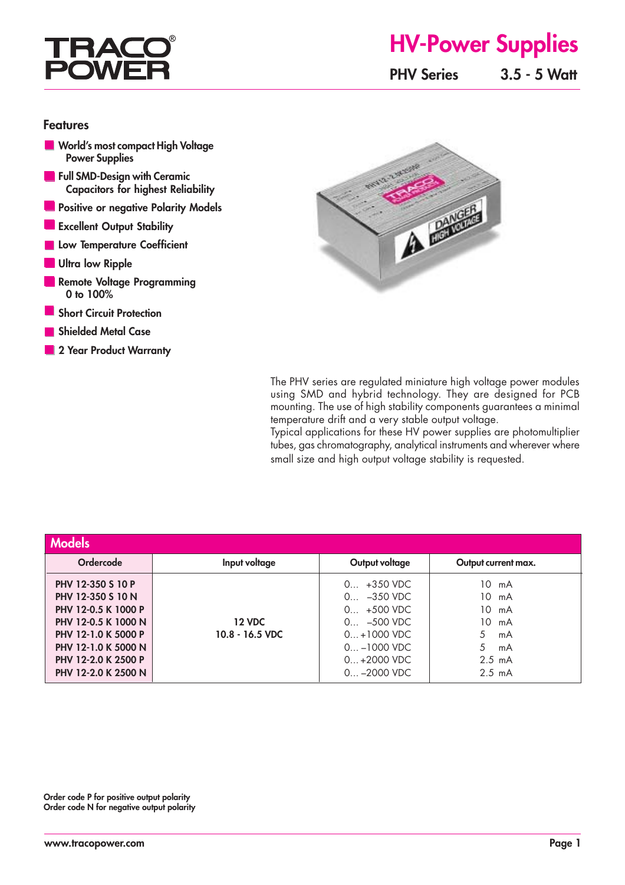## **TRA POWI**

# **HV-Power Supplies**

**PHV Series 3.5 - 5 Watt**

#### **Features**

- **World's most compact High Voltage Power Supplies**
- **Full SMD-Design with Ceramic Capacitors for highest Reliability**
- **Positive or negative Polarity Models**
- **Excellent Output Stability**
- **Low Temperature Coefficient**
- **Ultra low Ripple**
- **Remote Voltage Programming 0 to 100%**
- **Short Circuit Protection**
- **Shielded Metal Case**
- **2 Year Product Warranty**



The PHV series are regulated miniature high voltage power modules using SMD and hybrid technology. They are designed for PCB mounting. The use of high stability components guarantees a minimal temperature drift and a very stable output voltage.

Typical applications for these HV power supplies are photomultiplier tubes, gas chromatography, analytical instruments and wherever where small size and high output voltage stability is requested.

| <b>Models</b>                                                                                                                                                                    |                                    |                                                                                                                                    |                                                                                                |
|----------------------------------------------------------------------------------------------------------------------------------------------------------------------------------|------------------------------------|------------------------------------------------------------------------------------------------------------------------------------|------------------------------------------------------------------------------------------------|
| <b>Ordercode</b>                                                                                                                                                                 | Input voltage                      | Output voltage                                                                                                                     | Output current max.                                                                            |
| PHV 12-350 S 10 P<br>PHV 12-350 S 10 N<br>PHV 12-0.5 K 1000 P<br>PHV 12-0.5 K 1000 N<br>PHV 12-1.0 K 5000 P<br>PHV 12-1.0 K 5000 N<br>PHV 12-2.0 K 2500 P<br>PHV 12-2.0 K 2500 N | <b>12 VDC</b><br>$10.8 - 16.5$ VDC | $0 +350$ VDC<br>$-350$ VDC<br>0<br>$0 + 500$ VDC<br>$0 -500$ VDC<br>$0+1000$ VDC<br>$0 -1000$ VDC<br>$0+2000$ VDC<br>$0 -2000$ VDC | $10 \text{ mA}$<br>10 mA<br>10 mA<br>10 mA<br>mA<br>mA<br>$2.5 \text{ mA}$<br>$2.5 \text{ mA}$ |

**Order code P for positive output polarity Order code N for negative output polarity**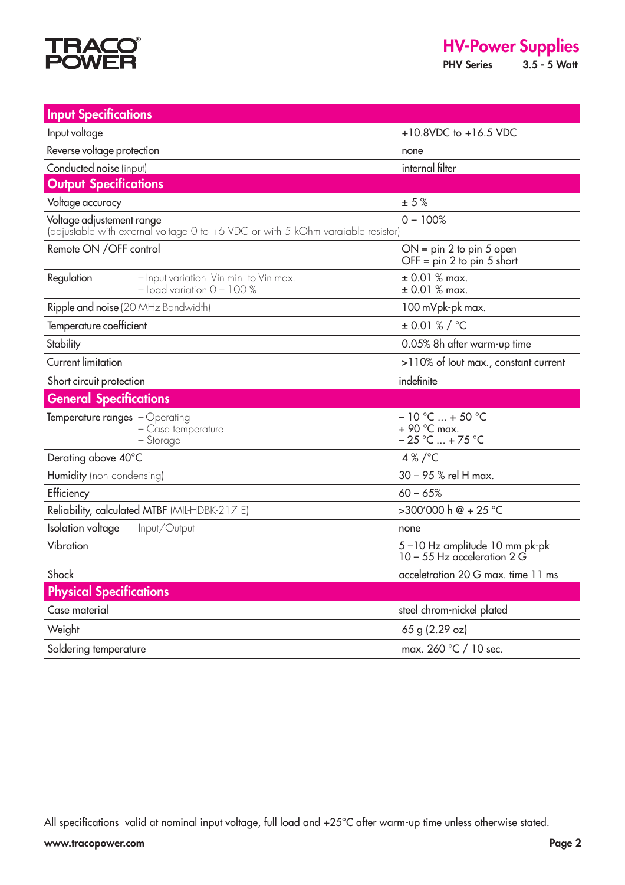

**Input Specifications** Input voltage +10.8VDC to +16.5 VDC Reverse voltage protection none Conducted noise (input) internal filter **Output Specifications** Voltage accuracy  $\pm 5\%$ Voltage adjustement range  $0 - 100\%$  (adjustable with external voltage 0 to +6 VDC or with 5 kOhm varaiable resistor) Remote ON / OFF control CON = pin 2 to pin 5 open  $OFF = pin 2 to pin 5 short$ Regulation – Input variation Vin min. to Vin max.  $\pm 0.01\%$  max.<br>- Ioad variation 0 – 100%  $\pm 0.01\%$  max.  $-$  Load variation  $0 - 100\%$ Ripple and noise (20 MHz Bandwidth) 100 mVpk-pk max. Temperature coefficient ± 0.01 % / °C Stability 0.05% 8h after warm-up time Current limitation >110% of Iout max., constant current Short circuit protection indefinite **General Specifications** Temperature ranges – Operating  $-$  10 °C  $...$  + 50 °C  $-$  10 °C  $-$  4 90 °C max. – Case temperature<br>– Storage  $-25$  °C ... + 75 °C Derating above  $40^{\circ}$ C 4 % / $^{\circ}$ C Humidity (non condensing) 30 – 95 % rel H max. Efficiency 60 – 65% Reliability, calculated MTBF (MIL-HDBK-217 E)  $>300'000$  h  $@ + 25$  °C **Isolation voltage** Input/Output **none** Vibration 5 – 10 Hz amplitude 10 mm pk-pk 10 – 55 Hz acceleration 2 G Shock acceletration 20 G max. time 11 ms  **Physical Specifications** Case material steel chrom-nickel plated Weight 65 g (2.29 oz) Soldering temperature max. 260 °C / 10 sec.

All specifications valid at nominal input voltage, full load and +25°C after warm-up time unless otherwise stated.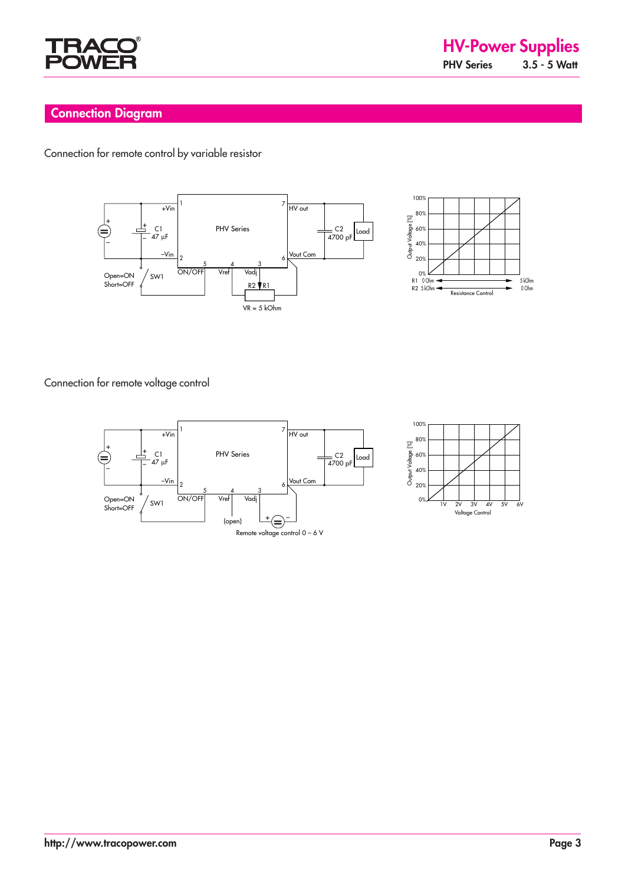

## **Connection Diagram**

Connection for remote control by variable resistor





Connection for remote voltage control